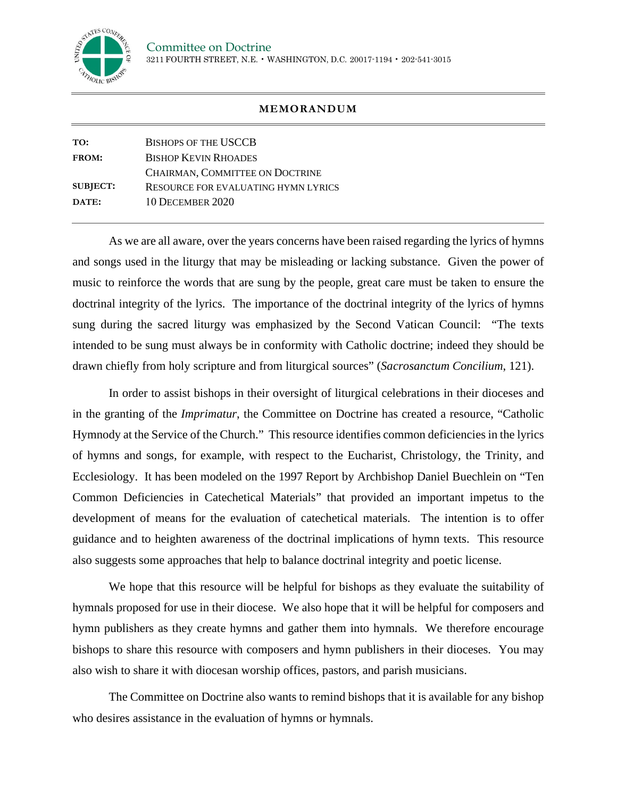

#### **MEMORANDUM**

| TO:             | <b>BISHOPS OF THE USCCB</b>         |
|-----------------|-------------------------------------|
| FROM:           | <b>BISHOP KEVIN RHOADES</b>         |
|                 | CHAIRMAN, COMMITTEE ON DOCTRINE     |
| <b>SUBJECT:</b> | RESOURCE FOR EVALUATING HYMN LYRICS |
| DATE:           | 10 DECEMBER 2020                    |
|                 |                                     |

As we are all aware, over the years concerns have been raised regarding the lyrics of hymns and songs used in the liturgy that may be misleading or lacking substance. Given the power of music to reinforce the words that are sung by the people, great care must be taken to ensure the doctrinal integrity of the lyrics. The importance of the doctrinal integrity of the lyrics of hymns sung during the sacred liturgy was emphasized by the Second Vatican Council: "The texts intended to be sung must always be in conformity with Catholic doctrine; indeed they should be drawn chiefly from holy scripture and from liturgical sources" (*Sacrosanctum Concilium*, 121).

In order to assist bishops in their oversight of liturgical celebrations in their dioceses and in the granting of the *Imprimatur*, the Committee on Doctrine has created a resource, "Catholic Hymnody at the Service of the Church." This resource identifies common deficiencies in the lyrics of hymns and songs, for example, with respect to the Eucharist, Christology, the Trinity, and Ecclesiology. It has been modeled on the 1997 Report by Archbishop Daniel Buechlein on "Ten Common Deficiencies in Catechetical Materials" that provided an important impetus to the development of means for the evaluation of catechetical materials. The intention is to offer guidance and to heighten awareness of the doctrinal implications of hymn texts. This resource also suggests some approaches that help to balance doctrinal integrity and poetic license.

We hope that this resource will be helpful for bishops as they evaluate the suitability of hymnals proposed for use in their diocese. We also hope that it will be helpful for composers and hymn publishers as they create hymns and gather them into hymnals. We therefore encourage bishops to share this resource with composers and hymn publishers in their dioceses. You may also wish to share it with diocesan worship offices, pastors, and parish musicians.

The Committee on Doctrine also wants to remind bishops that it is available for any bishop who desires assistance in the evaluation of hymns or hymnals.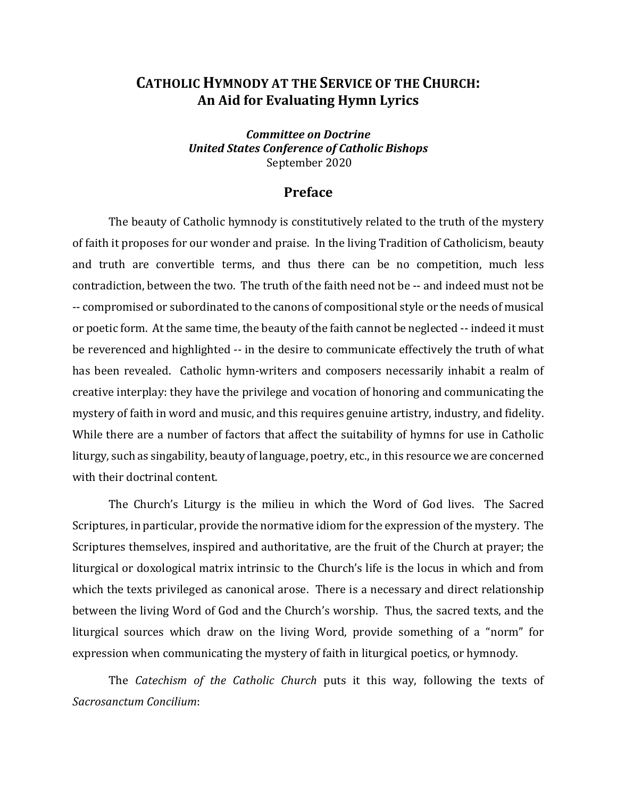# **CATHOLIC HYMNODY AT THE SERVICE OF THE CHURCH: An Aid for Evaluating Hymn Lyrics**

## *Committee on Doctrine United States Conference of Catholic Bishops* September 2020

## **Preface**

The beauty of Catholic hymnody is constitutively related to the truth of the mystery of faith it proposes for our wonder and praise. In the living Tradition of Catholicism, beauty and truth are convertible terms, and thus there can be no competition, much less contradiction, between the two. The truth of the faith need not be -- and indeed must not be -- compromised or subordinated to the canons of compositional style or the needs of musical or poetic form. At the same time, the beauty of the faith cannot be neglected -- indeed it must be reverenced and highlighted -- in the desire to communicate effectively the truth of what has been revealed. Catholic hymn-writers and composers necessarily inhabit a realm of creative interplay: they have the privilege and vocation of honoring and communicating the mystery of faith in word and music, and this requires genuine artistry, industry, and fidelity. While there are a number of factors that affect the suitability of hymns for use in Catholic liturgy, such as singability, beauty of language, poetry, etc., in this resource we are concerned with their doctrinal content.

The Church's Liturgy is the milieu in which the Word of God lives. The Sacred Scriptures, in particular, provide the normative idiom for the expression of the mystery. The Scriptures themselves, inspired and authoritative, are the fruit of the Church at prayer; the liturgical or doxological matrix intrinsic to the Church's life is the locus in which and from which the texts privileged as canonical arose. There is a necessary and direct relationship between the living Word of God and the Church's worship. Thus, the sacred texts, and the liturgical sources which draw on the living Word, provide something of a "norm" for expression when communicating the mystery of faith in liturgical poetics, or hymnody.

The *Catechism of the Catholic Church* puts it this way, following the texts of *Sacrosanctum Concilium*: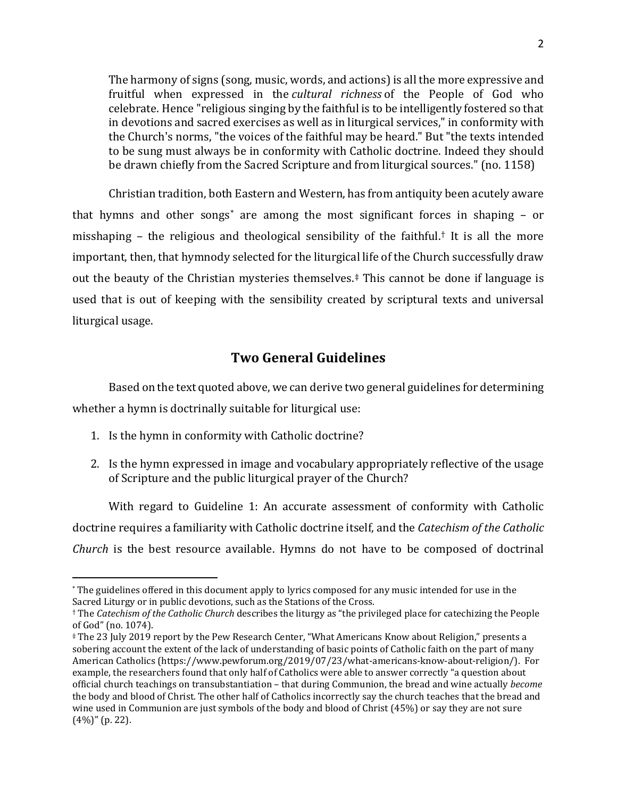The harmony of signs (song, music, words, and actions) is all the more expressive and fruitful when expressed in the *cultural richness* of the People of God who celebrate. Hence "religious singing by the faithful is to be intelligently fostered so that in devotions and sacred exercises as well as in liturgical services," in conformity with the Church's norms, "the voices of the faithful may be heard." But "the texts intended to be sung must always be in conformity with Catholic doctrine. Indeed they should be drawn chiefly from the Sacred Scripture and from liturgical sources." (no. 1158)

Christian tradition, both Eastern and Western, has from antiquity been acutely aware that hymns and other songs[\\*](#page-2-0) are among the most significant forces in shaping – or misshaping – the religious and theological sensibility of the faithful.[†](#page-2-1) It is all the more important, then, that hymnody selected for the liturgical life of the Church successfully draw out the beauty of the Christian mysteries themselves.[‡](#page-2-2) This cannot be done if language is used that is out of keeping with the sensibility created by scriptural texts and universal liturgical usage.

# **Two General Guidelines**

Based on the text quoted above, we can derive two general guidelines for determining whether a hymn is doctrinally suitable for liturgical use:

- 1. Is the hymn in conformity with Catholic doctrine?
- 2. Is the hymn expressed in image and vocabulary appropriately reflective of the usage of Scripture and the public liturgical prayer of the Church?

With regard to Guideline 1: An accurate assessment of conformity with Catholic doctrine requires a familiarity with Catholic doctrine itself, and the *Catechism of the Catholic Church* is the best resource available. Hymns do not have to be composed of doctrinal

<span id="page-2-0"></span><sup>\*</sup> The guidelines offered in this document apply to lyrics composed for any music intended for use in the Sacred Liturgy or in public devotions, such as the Stations of the Cross.

<span id="page-2-1"></span><sup>†</sup> The *Catechism of the Catholic Church* describes the liturgy as "the privileged place for catechizing the People of God" (no. 1074).

<span id="page-2-2"></span><sup>‡</sup> The 23 July 2019 report by the Pew Research Center, "What Americans Know about Religion," presents a sobering account the extent of the lack of understanding of basic points of Catholic faith on the part of many American Catholics (https://www.pewforum.org/2019/07/23/what-americans-know-about-religion/). For example, the researchers found that only half of Catholics were able to answer correctly "a question about official church teachings on transubstantiation – that during Communion, the bread and wine actually *become*  the body and blood of Christ. The other half of Catholics incorrectly say the church teaches that the bread and wine used in Communion are just symbols of the body and blood of Christ (45%) or say they are not sure (4%)" (p. 22).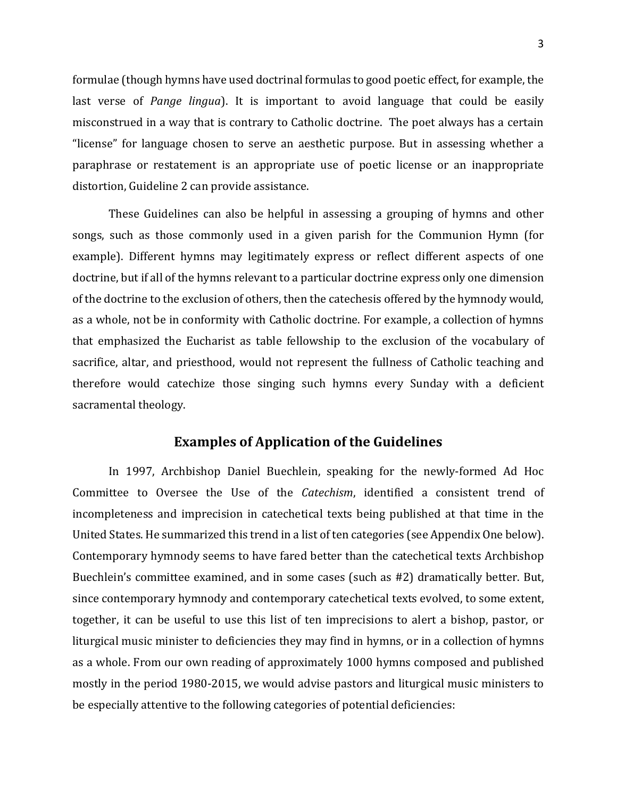formulae (though hymns have used doctrinal formulas to good poetic effect, for example, the last verse of *Pange lingua*). It is important to avoid language that could be easily misconstrued in a way that is contrary to Catholic doctrine. The poet always has a certain "license" for language chosen to serve an aesthetic purpose. But in assessing whether a paraphrase or restatement is an appropriate use of poetic license or an inappropriate distortion, Guideline 2 can provide assistance.

These Guidelines can also be helpful in assessing a grouping of hymns and other songs, such as those commonly used in a given parish for the Communion Hymn (for example). Different hymns may legitimately express or reflect different aspects of one doctrine, but if all of the hymns relevant to a particular doctrine express only one dimension of the doctrine to the exclusion of others, then the catechesis offered by the hymnody would, as a whole, not be in conformity with Catholic doctrine. For example, a collection of hymns that emphasized the Eucharist as table fellowship to the exclusion of the vocabulary of sacrifice, altar, and priesthood, would not represent the fullness of Catholic teaching and therefore would catechize those singing such hymns every Sunday with a deficient sacramental theology.

## **Examples of Application of the Guidelines**

In 1997, Archbishop Daniel Buechlein, speaking for the newly-formed Ad Hoc Committee to Oversee the Use of the *Catechism*, identified a consistent trend of incompleteness and imprecision in catechetical texts being published at that time in the United States. He summarized this trend in a list of ten categories (see Appendix One below). Contemporary hymnody seems to have fared better than the catechetical texts Archbishop Buechlein's committee examined, and in some cases (such as #2) dramatically better. But, since contemporary hymnody and contemporary catechetical texts evolved, to some extent, together, it can be useful to use this list of ten imprecisions to alert a bishop, pastor, or liturgical music minister to deficiencies they may find in hymns, or in a collection of hymns as a whole. From our own reading of approximately 1000 hymns composed and published mostly in the period 1980-2015, we would advise pastors and liturgical music ministers to be especially attentive to the following categories of potential deficiencies: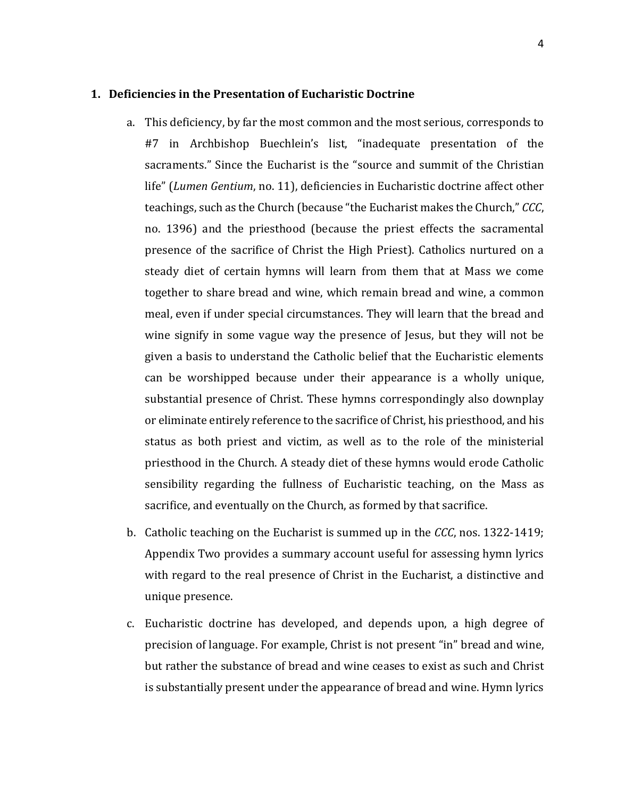#### **1. Deficiencies in the Presentation of Eucharistic Doctrine**

- a. This deficiency, by far the most common and the most serious, corresponds to #7 in Archbishop Buechlein's list, "inadequate presentation of the sacraments." Since the Eucharist is the "source and summit of the Christian life" (*Lumen Gentium*, no. 11), deficiencies in Eucharistic doctrine affect other teachings, such as the Church (because "the Eucharist makes the Church," *CCC*, no. 1396) and the priesthood (because the priest effects the sacramental presence of the sacrifice of Christ the High Priest). Catholics nurtured on a steady diet of certain hymns will learn from them that at Mass we come together to share bread and wine, which remain bread and wine, a common meal, even if under special circumstances. They will learn that the bread and wine signify in some vague way the presence of Jesus, but they will not be given a basis to understand the Catholic belief that the Eucharistic elements can be worshipped because under their appearance is a wholly unique, substantial presence of Christ. These hymns correspondingly also downplay or eliminate entirely reference to the sacrifice of Christ, his priesthood, and his status as both priest and victim, as well as to the role of the ministerial priesthood in the Church. A steady diet of these hymns would erode Catholic sensibility regarding the fullness of Eucharistic teaching, on the Mass as sacrifice, and eventually on the Church, as formed by that sacrifice.
- b. Catholic teaching on the Eucharist is summed up in the *CCC*, nos. 1322-1419; Appendix Two provides a summary account useful for assessing hymn lyrics with regard to the real presence of Christ in the Eucharist, a distinctive and unique presence.
- c. Eucharistic doctrine has developed, and depends upon, a high degree of precision of language. For example, Christ is not present "in" bread and wine, but rather the substance of bread and wine ceases to exist as such and Christ is substantially present under the appearance of bread and wine. Hymn lyrics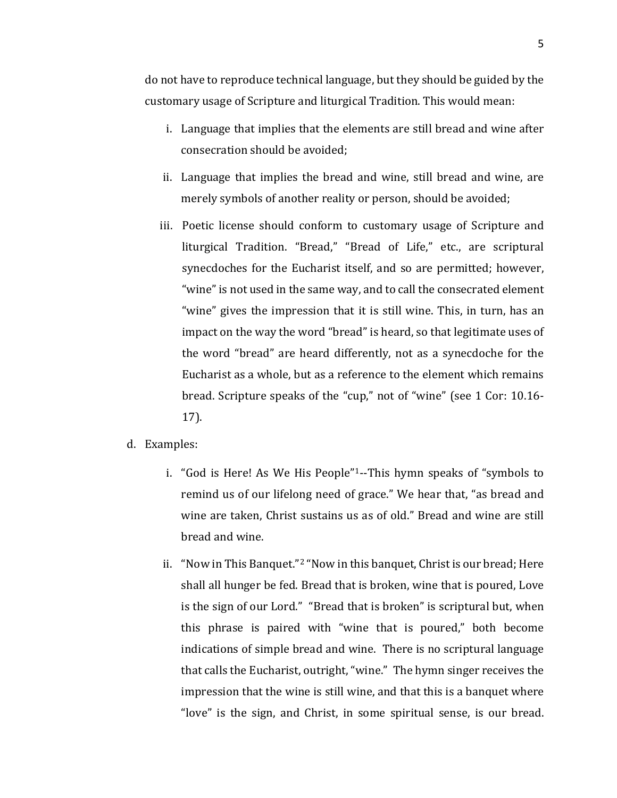do not have to reproduce technical language, but they should be guided by the customary usage of Scripture and liturgical Tradition. This would mean:

- i. Language that implies that the elements are still bread and wine after consecration should be avoided;
- ii. Language that implies the bread and wine, still bread and wine, are merely symbols of another reality or person, should be avoided;
- iii. Poetic license should conform to customary usage of Scripture and liturgical Tradition. "Bread," "Bread of Life," etc., are scriptural synecdoches for the Eucharist itself, and so are permitted; however, "wine" is not used in the same way, and to call the consecrated element "wine" gives the impression that it is still wine. This, in turn, has an impact on the way the word "bread" is heard, so that legitimate uses of the word "bread" are heard differently, not as a synecdoche for the Eucharist as a whole, but as a reference to the element which remains bread. Scripture speaks of the "cup," not of "wine" (see 1 Cor: 10.16- 17).
- d. Examples:
	- i. "God is Here! As We His People"[1](#page-19-0)--This hymn speaks of "symbols to remind us of our lifelong need of grace." We hear that, "as bread and wine are taken, Christ sustains us as of old." Bread and wine are still bread and wine.
	- ii. "Now in This Banquet."[2](#page-19-1) "Now in this banquet, Christ is our bread; Here shall all hunger be fed. Bread that is broken, wine that is poured, Love is the sign of our Lord." "Bread that is broken" is scriptural but, when this phrase is paired with "wine that is poured," both become indications of simple bread and wine. There is no scriptural language that calls the Eucharist, outright, "wine." The hymn singer receives the impression that the wine is still wine, and that this is a banquet where "love" is the sign, and Christ, in some spiritual sense, is our bread.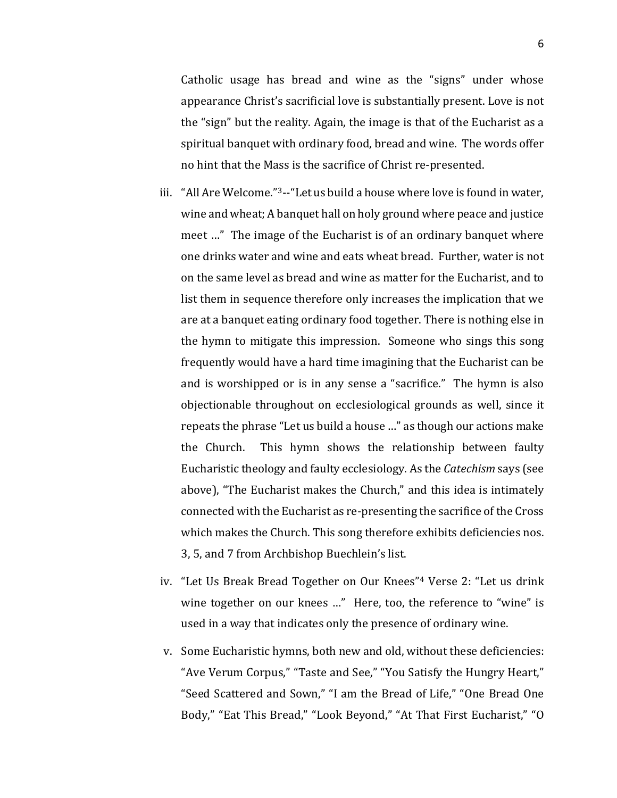Catholic usage has bread and wine as the "signs" under whose appearance Christ's sacrificial love is substantially present. Love is not the "sign" but the reality. Again, the image is that of the Eucharist as a spiritual banquet with ordinary food, bread and wine. The words offer no hint that the Mass is the sacrifice of Christ re-presented.

- iii. "All Are Welcome."[3-](#page-19-2)-"Let us build a house where love is found in water, wine and wheat; A banquet hall on holy ground where peace and justice meet …" The image of the Eucharist is of an ordinary banquet where one drinks water and wine and eats wheat bread. Further, water is not on the same level as bread and wine as matter for the Eucharist, and to list them in sequence therefore only increases the implication that we are at a banquet eating ordinary food together. There is nothing else in the hymn to mitigate this impression. Someone who sings this song frequently would have a hard time imagining that the Eucharist can be and is worshipped or is in any sense a "sacrifice." The hymn is also objectionable throughout on ecclesiological grounds as well, since it repeats the phrase "Let us build a house …" as though our actions make the Church. This hymn shows the relationship between faulty Eucharistic theology and faulty ecclesiology. As the *Catechism* says (see above), "The Eucharist makes the Church," and this idea is intimately connected with the Eucharist as re-presenting the sacrifice of the Cross which makes the Church. This song therefore exhibits deficiencies nos. 3, 5, and 7 from Archbishop Buechlein's list.
- iv. "Let Us Break Bread Together on Our Knees"[4](#page-19-3) Verse 2: "Let us drink wine together on our knees …" Here, too, the reference to "wine" is used in a way that indicates only the presence of ordinary wine.
- v. Some Eucharistic hymns, both new and old, without these deficiencies: "Ave Verum Corpus," "Taste and See," "You Satisfy the Hungry Heart," "Seed Scattered and Sown," "I am the Bread of Life," "One Bread One Body," "Eat This Bread," "Look Beyond," "At That First Eucharist," "O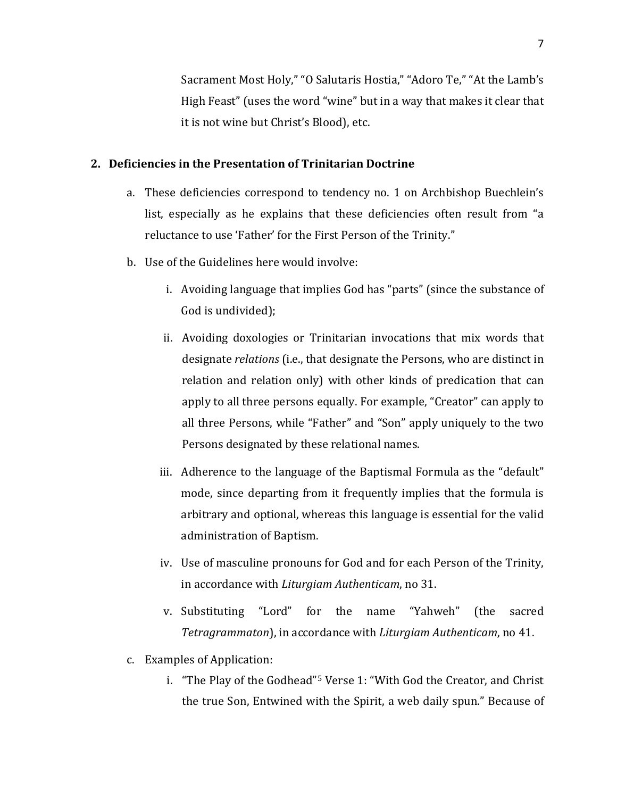Sacrament Most Holy," "O Salutaris Hostia," "Adoro Te," "At the Lamb's High Feast" (uses the word "wine" but in a way that makes it clear that it is not wine but Christ's Blood), etc.

## **2. Deficiencies in the Presentation of Trinitarian Doctrine**

- a. These deficiencies correspond to tendency no. 1 on Archbishop Buechlein's list, especially as he explains that these deficiencies often result from "a reluctance to use 'Father' for the First Person of the Trinity."
- b. Use of the Guidelines here would involve:
	- i. Avoiding language that implies God has "parts" (since the substance of God is undivided);
	- ii. Avoiding doxologies or Trinitarian invocations that mix words that designate *relations* (i.e., that designate the Persons, who are distinct in relation and relation only) with other kinds of predication that can apply to all three persons equally. For example, "Creator" can apply to all three Persons, while "Father" and "Son" apply uniquely to the two Persons designated by these relational names.
	- iii. Adherence to the language of the Baptismal Formula as the "default" mode, since departing from it frequently implies that the formula is arbitrary and optional, whereas this language is essential for the valid administration of Baptism.
	- iv. Use of masculine pronouns for God and for each Person of the Trinity, in accordance with *Liturgiam Authenticam*, no 31.
	- v. Substituting "Lord" for the name "Yahweh" (the sacred *Tetragrammaton*), in accordance with *Liturgiam Authenticam*, no 41.
- c. Examples of Application:
	- i. "The Play of the Godhead"[5](#page-19-4) Verse 1: "With God the Creator, and Christ the true Son, Entwined with the Spirit, a web daily spun." Because of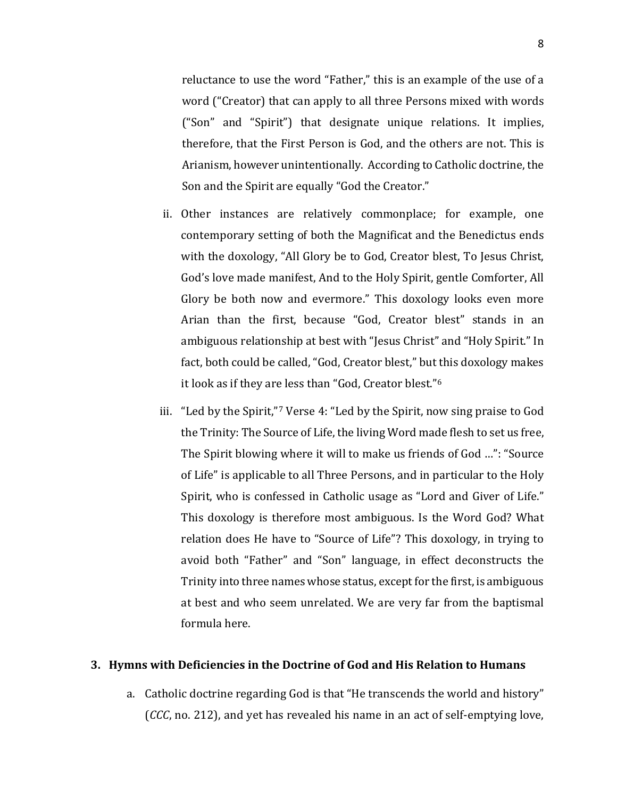reluctance to use the word "Father," this is an example of the use of a word ("Creator) that can apply to all three Persons mixed with words ("Son" and "Spirit") that designate unique relations. It implies, therefore, that the First Person is God, and the others are not. This is Arianism, however unintentionally. According to Catholic doctrine, the Son and the Spirit are equally "God the Creator."

- ii. Other instances are relatively commonplace; for example, one contemporary setting of both the Magnificat and the Benedictus ends with the doxology, "All Glory be to God, Creator blest, To Jesus Christ, God's love made manifest, And to the Holy Spirit, gentle Comforter, All Glory be both now and evermore." This doxology looks even more Arian than the first, because "God, Creator blest" stands in an ambiguous relationship at best with "Jesus Christ" and "Holy Spirit." In fact, both could be called, "God, Creator blest," but this doxology makes it look as if they are less than "God, Creator blest."[6](#page-19-5)
- iii. "Led by the Spirit,"[7](#page-19-6) Verse 4: "Led by the Spirit, now sing praise to God the Trinity: The Source of Life, the living Word made flesh to set us free, The Spirit blowing where it will to make us friends of God …": "Source of Life" is applicable to all Three Persons, and in particular to the Holy Spirit, who is confessed in Catholic usage as "Lord and Giver of Life." This doxology is therefore most ambiguous. Is the Word God? What relation does He have to "Source of Life"? This doxology, in trying to avoid both "Father" and "Son" language, in effect deconstructs the Trinity into three names whose status, except for the first, is ambiguous at best and who seem unrelated. We are very far from the baptismal formula here.

## **3. Hymns with Deficiencies in the Doctrine of God and His Relation to Humans**

a. Catholic doctrine regarding God is that "He transcends the world and history" (*CCC*, no. 212), and yet has revealed his name in an act of self-emptying love,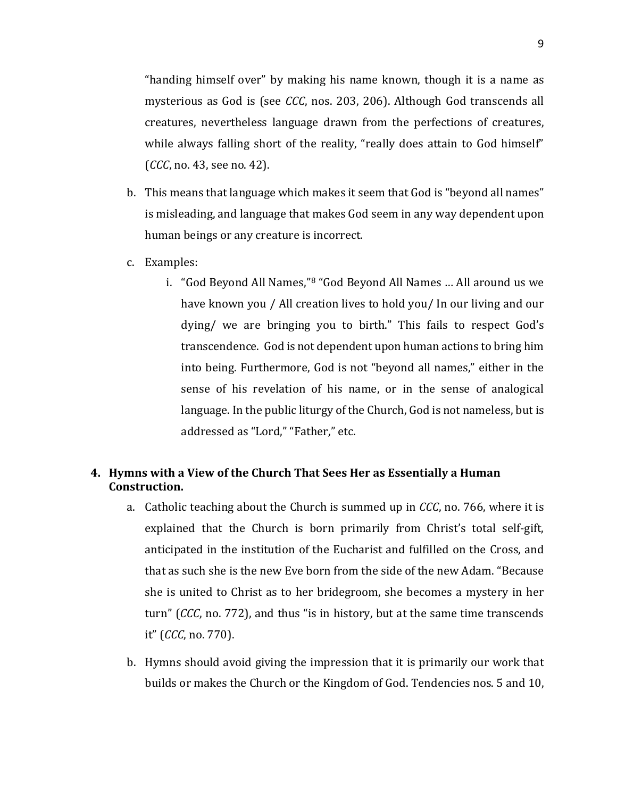"handing himself over" by making his name known, though it is a name as mysterious as God is (see *CCC*, nos. 203, 206). Although God transcends all creatures, nevertheless language drawn from the perfections of creatures, while always falling short of the reality, "really does attain to God himself" (*CCC*, no. 43, see no. 42).

- b. This means that language which makes it seem that God is "beyond all names" is misleading, and language that makes God seem in any way dependent upon human beings or any creature is incorrect.
- c. Examples:
	- i. "God Beyond All Names,"[8](#page-19-7) "God Beyond All Names … All around us we have known you / All creation lives to hold you/ In our living and our dying/ we are bringing you to birth." This fails to respect God's transcendence. God is not dependent upon human actions to bring him into being. Furthermore, God is not "beyond all names," either in the sense of his revelation of his name, or in the sense of analogical language. In the public liturgy of the Church, God is not nameless, but is addressed as "Lord," "Father," etc.

### **4. Hymns with a View of the Church That Sees Her as Essentially a Human Construction.**

- a. Catholic teaching about the Church is summed up in *CCC*, no. 766, where it is explained that the Church is born primarily from Christ's total self-gift, anticipated in the institution of the Eucharist and fulfilled on the Cross, and that as such she is the new Eve born from the side of the new Adam. "Because she is united to Christ as to her bridegroom, she becomes a mystery in her turn" (*CCC*, no. 772), and thus "is in history, but at the same time transcends it" (*CCC*, no. 770).
- b. Hymns should avoid giving the impression that it is primarily our work that builds or makes the Church or the Kingdom of God. Tendencies nos. 5 and 10,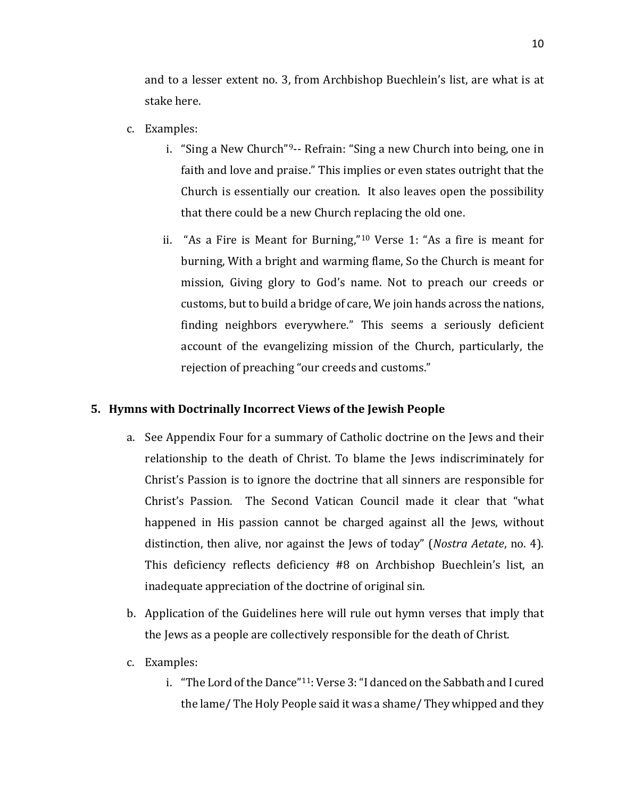and to a lesser extent no. 3, from Archbishop Buechlein's list, are what is at stake here.

- c. Examples:
	- i. "Sing a New Church"[9](#page-19-8)-- Refrain: "Sing a new Church into being, one in faith and love and praise." This implies or even states outright that the Church is essentially our creation. It also leaves open the possibility that there could be a new Church replacing the old one.
	- ii. "As a Fire is Meant for Burning,"[10](#page-19-9) Verse 1: "As a fire is meant for burning, With a bright and warming flame, So the Church is meant for mission, Giving glory to God's name. Not to preach our creeds or customs, but to build a bridge of care, We join hands across the nations, finding neighbors everywhere." This seems a seriously deficient account of the evangelizing mission of the Church, particularly, the rejection of preaching "our creeds and customs."

### **5. Hymns with Doctrinally Incorrect Views of the Jewish People**

- a. See Appendix Four for a summary of Catholic doctrine on the Jews and their relationship to the death of Christ. To blame the Jews indiscriminately for Christ's Passion is to ignore the doctrine that all sinners are responsible for Christ's Passion. The Second Vatican Council made it clear that "what happened in His passion cannot be charged against all the Jews, without distinction, then alive, nor against the Jews of today" (*Nostra Aetate*, no. 4). This deficiency reflects deficiency #8 on Archbishop Buechlein's list, an inadequate appreciation of the doctrine of original sin.
- b. Application of the Guidelines here will rule out hymn verses that imply that the Jews as a people are collectively responsible for the death of Christ.
- c. Examples:
	- i. "The Lord of the Dance"[11:](#page-19-10) Verse 3: "I danced on the Sabbath and I cured the lame/ The Holy People said it was a shame/ They whipped and they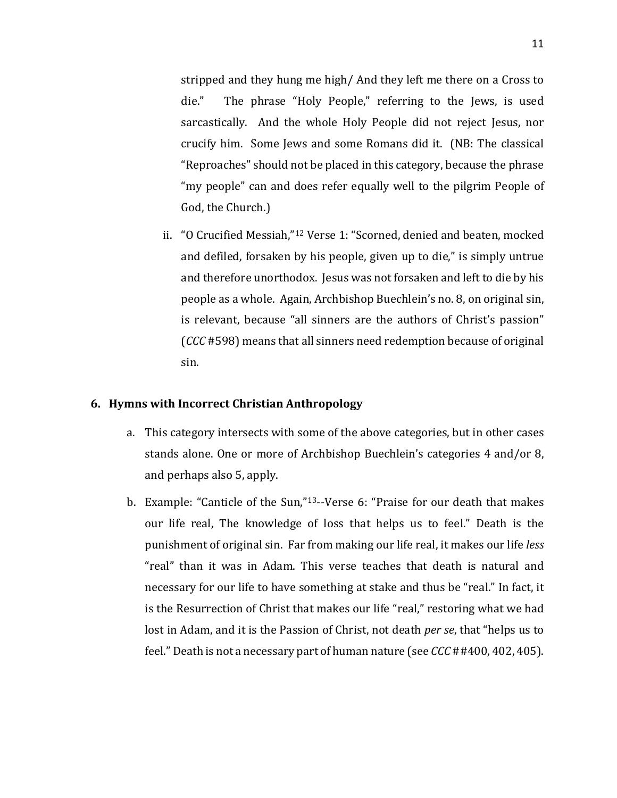stripped and they hung me high/ And they left me there on a Cross to die." The phrase "Holy People," referring to the Jews, is used sarcastically. And the whole Holy People did not reject Jesus, nor crucify him. Some Jews and some Romans did it. (NB: The classical "Reproaches" should not be placed in this category, because the phrase "my people" can and does refer equally well to the pilgrim People of God, the Church.)

ii. "O Crucified Messiah,"[12](#page-19-11) Verse 1: "Scorned, denied and beaten, mocked and defiled, forsaken by his people, given up to die," is simply untrue and therefore unorthodox. Jesus was not forsaken and left to die by his people as a whole. Again, Archbishop Buechlein's no. 8, on original sin, is relevant, because "all sinners are the authors of Christ's passion" (*CCC* #598) means that all sinners need redemption because of original sin.

#### **6. Hymns with Incorrect Christian Anthropology**

- a. This category intersects with some of the above categories, but in other cases stands alone. One or more of Archbishop Buechlein's categories 4 and/or 8, and perhaps also 5, apply.
- b. Example: "Canticle of the Sun,"<sup>13</sup>--Verse 6: "Praise for our death that makes our life real, The knowledge of loss that helps us to feel." Death is the punishment of original sin. Far from making our life real, it makes our life *less* "real" than it was in Adam. This verse teaches that death is natural and necessary for our life to have something at stake and thus be "real." In fact, it is the Resurrection of Christ that makes our life "real," restoring what we had lost in Adam, and it is the Passion of Christ, not death *per se*, that "helps us to feel." Death is not a necessary part of human nature (see *CCC* ##400, 402, 405).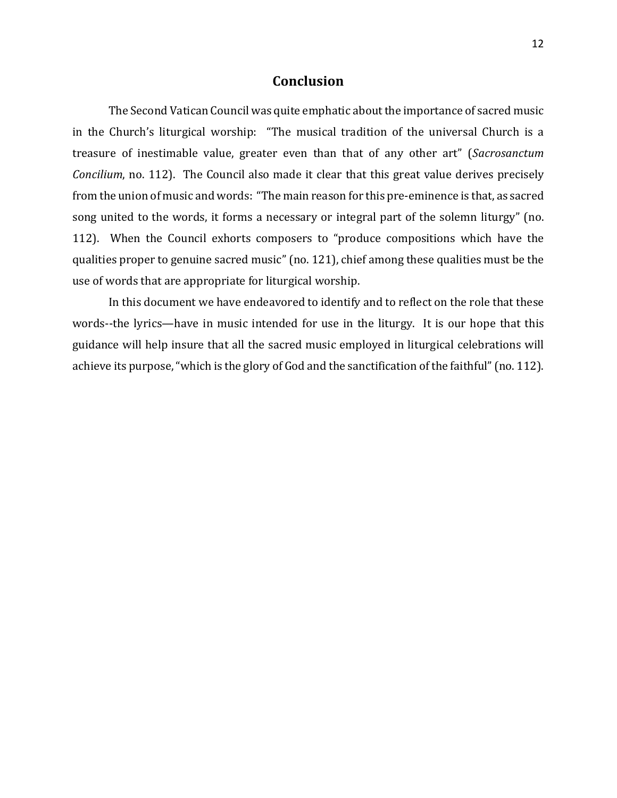#### **Conclusion**

The Second Vatican Council was quite emphatic about the importance of sacred music in the Church's liturgical worship: "The musical tradition of the universal Church is a treasure of inestimable value, greater even than that of any other art" (*Sacrosanctum Concilium*, no. 112). The Council also made it clear that this great value derives precisely from the union of music and words: "The main reason for this pre-eminence is that, as sacred song united to the words, it forms a necessary or integral part of the solemn liturgy" (no. 112). When the Council exhorts composers to "produce compositions which have the qualities proper to genuine sacred music" (no. 121), chief among these qualities must be the use of words that are appropriate for liturgical worship.

In this document we have endeavored to identify and to reflect on the role that these words--the lyrics—have in music intended for use in the liturgy. It is our hope that this guidance will help insure that all the sacred music employed in liturgical celebrations will achieve its purpose, "which is the glory of God and the sanctification of the faithful"(no. 112).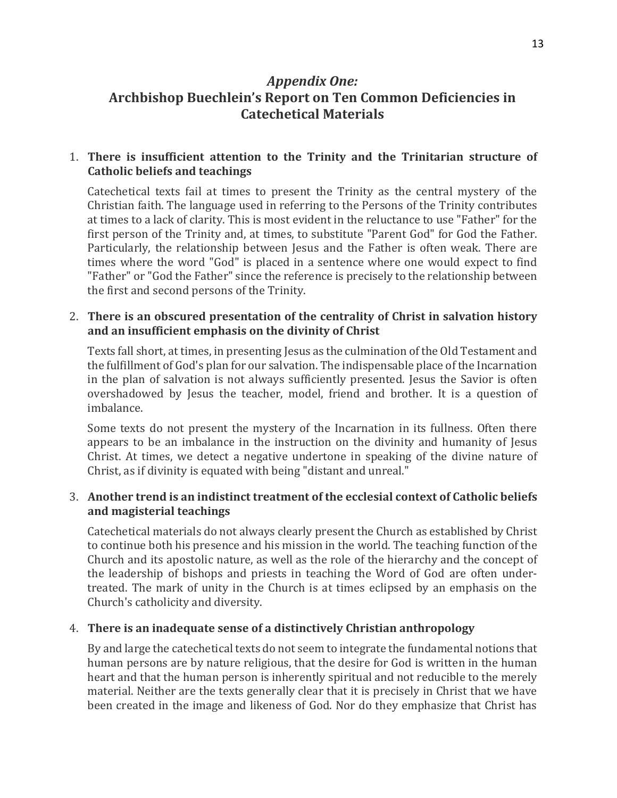# *Appendix One:*  **Archbishop Buechlein's Report on Ten Common Deficiencies in Catechetical Materials**

## 1. **There is insufficient attention to the Trinity and the Trinitarian structure of Catholic beliefs and teachings**

Catechetical texts fail at times to present the Trinity as the central mystery of the Christian faith. The language used in referring to the Persons of the Trinity contributes at times to a lack of clarity. This is most evident in the reluctance to use "Father" for the first person of the Trinity and, at times, to substitute "Parent God" for God the Father. Particularly, the relationship between Jesus and the Father is often weak. There are times where the word "God" is placed in a sentence where one would expect to find "Father" or "God the Father" since the reference is precisely to the relationship between the first and second persons of the Trinity.

#### 2. **There is an obscured presentation of the centrality of Christ in salvation history and an insufficient emphasis on the divinity of Christ**

Texts fall short, at times, in presenting Jesus as the culmination of the Old Testament and the fulfillment of God's plan for our salvation. The indispensable place of the Incarnation in the plan of salvation is not always sufficiently presented. Jesus the Savior is often overshadowed by Jesus the teacher, model, friend and brother. It is a question of imbalance.

Some texts do not present the mystery of the Incarnation in its fullness. Often there appears to be an imbalance in the instruction on the divinity and humanity of Jesus Christ. At times, we detect a negative undertone in speaking of the divine nature of Christ, as if divinity is equated with being "distant and unreal."

### 3. **Another trend is an indistinct treatment of the ecclesial context of Catholic beliefs and magisterial teachings**

Catechetical materials do not always clearly present the Church as established by Christ to continue both his presence and his mission in the world. The teaching function of the Church and its apostolic nature, as well as the role of the hierarchy and the concept of the leadership of bishops and priests in teaching the Word of God are often undertreated. The mark of unity in the Church is at times eclipsed by an emphasis on the Church's catholicity and diversity.

### 4. **There is an inadequate sense of a distinctively Christian anthropology**

By and large the catechetical texts do not seem to integrate the fundamental notions that human persons are by nature religious, that the desire for God is written in the human heart and that the human person is inherently spiritual and not reducible to the merely material. Neither are the texts generally clear that it is precisely in Christ that we have been created in the image and likeness of God. Nor do they emphasize that Christ has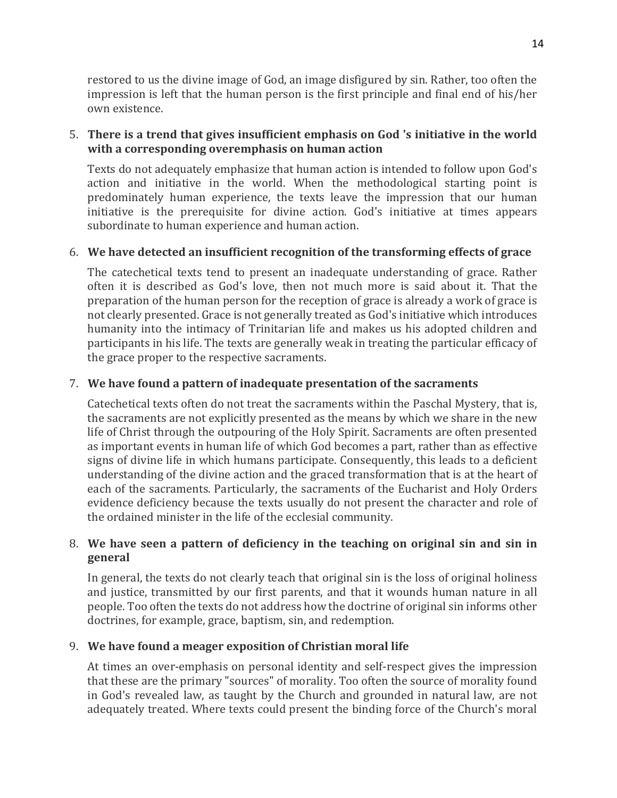restored to us the divine image of God, an image disfigured by sin. Rather, too often the impression is left that the human person is the first principle and final end of his/her own existence.

## 5. **There is a trend that gives insufficient emphasis on God 's initiative in the world with a corresponding overemphasis on human action**

Texts do not adequately emphasize that human action is intended to follow upon God's action and initiative in the world. When the methodological starting point is predominately human experience, the texts leave the impression that our human initiative is the prerequisite for divine action. God's initiative at times appears subordinate to human experience and human action.

# 6. **We have detected an insufficient recognition of the transforming effects of grace**

The catechetical texts tend to present an inadequate understanding of grace. Rather often it is described as God's love, then not much more is said about it. That the preparation of the human person for the reception of grace is already a work of grace is not clearly presented. Grace is not generally treated as God's initiative which introduces humanity into the intimacy of Trinitarian life and makes us his adopted children and participants in his life. The texts are generally weak in treating the particular efficacy of the grace proper to the respective sacraments.

## 7. **We have found a pattern of inadequate presentation of the sacraments**

Catechetical texts often do not treat the sacraments within the Paschal Mystery, that is, the sacraments are not explicitly presented as the means by which we share in the new life of Christ through the outpouring of the Holy Spirit. Sacraments are often presented as important events in human life of which God becomes a part, rather than as effective signs of divine life in which humans participate. Consequently, this leads to a deficient understanding of the divine action and the graced transformation that is at the heart of each of the sacraments. Particularly, the sacraments of the Eucharist and Holy Orders evidence deficiency because the texts usually do not present the character and role of the ordained minister in the life of the ecclesial community.

## 8. **We have seen a pattern of deficiency in the teaching on original sin and sin in general**

In general, the texts do not clearly teach that original sin is the loss of original holiness and justice, transmitted by our first parents, and that it wounds human nature in all people. Too often the texts do not address how the doctrine of original sin informs other doctrines, for example, grace, baptism, sin, and redemption.

## 9. **We have found a meager exposition of Christian moral life**

At times an over-emphasis on personal identity and self-respect gives the impression that these are the primary "sources" of morality. Too often the source of morality found in God's revealed law, as taught by the Church and grounded in natural law, are not adequately treated. Where texts could present the binding force of the Church's moral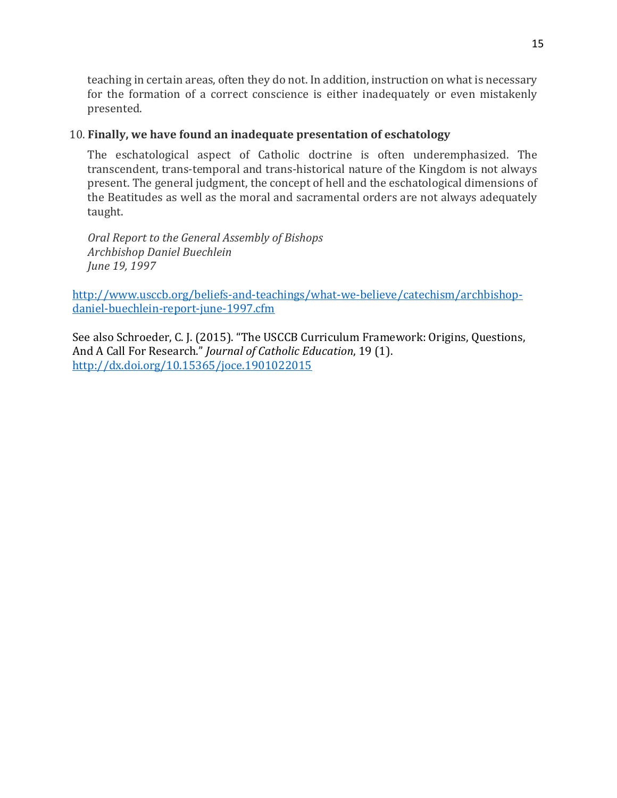teaching in certain areas, often they do not. In addition, instruction on what is necessary for the formation of a correct conscience is either inadequately or even mistakenly presented.

### 10. **Finally, we have found an inadequate presentation of eschatology**

The eschatological aspect of Catholic doctrine is often underemphasized. The transcendent, trans-temporal and trans-historical nature of the Kingdom is not always present. The general judgment, the concept of hell and the eschatological dimensions of the Beatitudes as well as the moral and sacramental orders are not always adequately taught.

*Oral Report to the General Assembly of Bishops Archbishop Daniel Buechlein June 19, 1997*

[http://www.usccb.org/beliefs-and-teachings/what-we-believe/catechism/archbishop](http://www.usccb.org/beliefs-and-teachings/what-we-believe/catechism/archbishop-daniel-buechlein-report-june-1997.cfm)[daniel-buechlein-report-june-1997.cfm](http://www.usccb.org/beliefs-and-teachings/what-we-believe/catechism/archbishop-daniel-buechlein-report-june-1997.cfm)

See also Schroeder, C. J. (2015). "The USCCB Curriculum Framework: Origins, Questions, And A Call For Research." *Journal of Catholic Education*, 19 (1). <http://dx.doi.org/10.15365/joce.1901022015>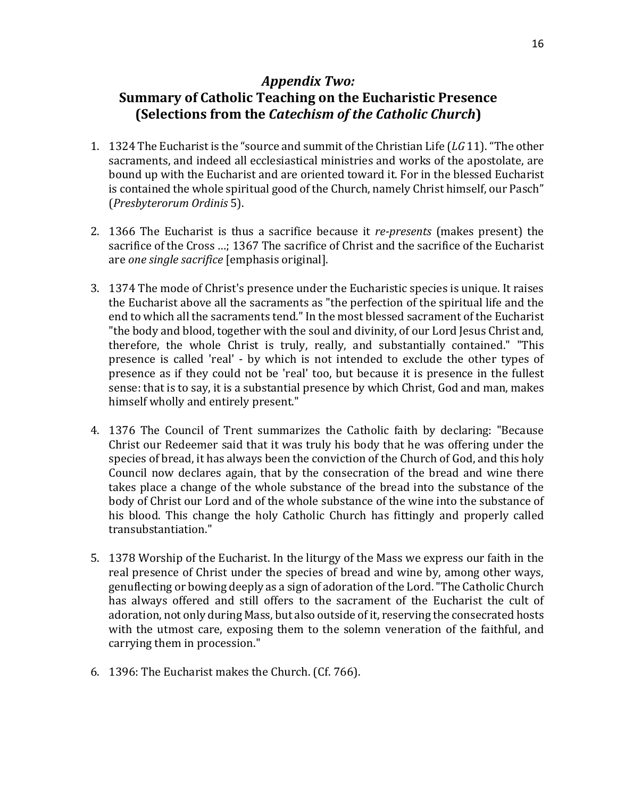# *Appendix Two:*

# **Summary of Catholic Teaching on the Eucharistic Presence (Selections from the** *Catechism of the Catholic Church***)**

- 1. 1324 The Eucharist is the "source and summit of the Christian Life (*LG* 11). "The other sacraments, and indeed all ecclesiastical ministries and works of the apostolate, are bound up with the Eucharist and are oriented toward it. For in the blessed Eucharist is contained the whole spiritual good of the Church, namely Christ himself, our Pasch" (*Presbyterorum Ordinis* 5).
- 2. 1366 The Eucharist is thus a sacrifice because it *re-presents* (makes present) the sacrifice of the Cross …; 1367 The sacrifice of Christ and the sacrifice of the Eucharist are *one single sacrifice* [emphasis original].
- 3. 1374 The mode of Christ's presence under the Eucharistic species is unique. It raises the Eucharist above all the sacraments as "the perfection of the spiritual life and the end to which all the sacraments tend." In the most blessed sacrament of the Eucharist "the body and blood, together with the soul and divinity, of our Lord Jesus Christ and, therefore, the whole Christ is truly, really, and substantially contained." "This presence is called 'real' - by which is not intended to exclude the other types of presence as if they could not be 'real' too, but because it is presence in the fullest sense: that is to say, it is a substantial presence by which Christ, God and man, makes himself wholly and entirely present."
- 4. 1376 The Council of Trent summarizes the Catholic faith by declaring: "Because Christ our Redeemer said that it was truly his body that he was offering under the species of bread, it has always been the conviction of the Church of God, and this holy Council now declares again, that by the consecration of the bread and wine there takes place a change of the whole substance of the bread into the substance of the body of Christ our Lord and of the whole substance of the wine into the substance of his blood. This change the holy Catholic Church has fittingly and properly called transubstantiation."
- 5. 1378 Worship of the Eucharist. In the liturgy of the Mass we express our faith in the real presence of Christ under the species of bread and wine by, among other ways, genuflecting or bowing deeply as a sign of adoration of the Lord. "The Catholic Church has always offered and still offers to the sacrament of the Eucharist the cult of adoration, not only during Mass, but also outside of it, reserving the consecrated hosts with the utmost care, exposing them to the solemn veneration of the faithful, and carrying them in procession."
- 6. 1396: The Eucharist makes the Church. (Cf. 766).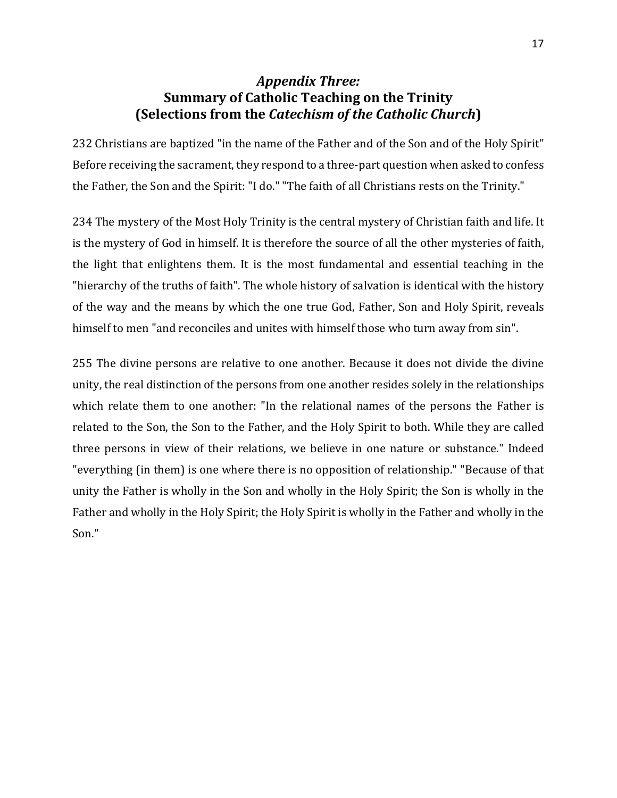# *Appendix Three:*  **Summary of Catholic Teaching on the Trinity (Selections from the** *Catechism of the Catholic Church***)**

232 Christians are baptized "in the name of the Father and of the Son and of the Holy Spirit" Before receiving the sacrament, they respond to a three-part question when asked to confess the Father, the Son and the Spirit: "I do." "The faith of all Christians rests on the Trinity."

234 The mystery of the Most Holy Trinity is the central mystery of Christian faith and life. It is the mystery of God in himself. It is therefore the source of all the other mysteries of faith, the light that enlightens them. It is the most fundamental and essential teaching in the "hierarchy of the truths of faith". The whole history of salvation is identical with the history of the way and the means by which the one true God, Father, Son and Holy Spirit, reveals himself to men "and reconciles and unites with himself those who turn away from sin".

255 The divine persons are relative to one another. Because it does not divide the divine unity, the real distinction of the persons from one another resides solely in the relationships which relate them to one another: "In the relational names of the persons the Father is related to the Son, the Son to the Father, and the Holy Spirit to both. While they are called three persons in view of their relations, we believe in one nature or substance." Indeed "everything (in them) is one where there is no opposition of relationship." "Because of that unity the Father is wholly in the Son and wholly in the Holy Spirit; the Son is wholly in the Father and wholly in the Holy Spirit; the Holy Spirit is wholly in the Father and wholly in the Son."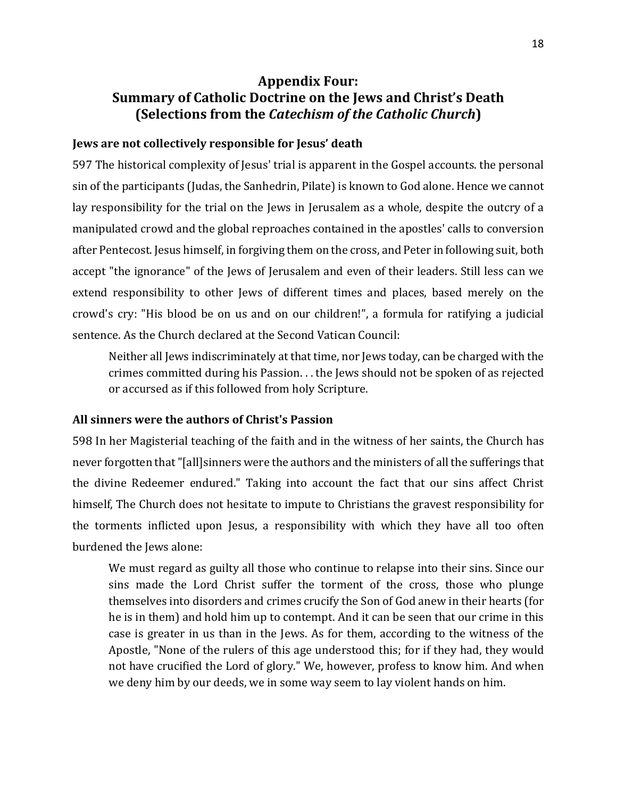# **Appendix Four: Summary of Catholic Doctrine on the Jews and Christ's Death (Selections from the** *Catechism of the Catholic Church***)**

#### **Jews are not collectively responsible for Jesus' death**

597 The historical complexity of Jesus' trial is apparent in the Gospel accounts. the personal sin of the participants (Judas, the Sanhedrin, Pilate) is known to God alone. Hence we cannot lay responsibility for the trial on the Jews in Jerusalem as a whole, despite the outcry of a manipulated crowd and the global reproaches contained in the apostles' calls to conversion after Pentecost. Jesus himself, in forgiving them on the cross, and Peter in following suit, both accept "the ignorance" of the Jews of Jerusalem and even of their leaders. Still less can we extend responsibility to other Jews of different times and places, based merely on the crowd's cry: "His blood be on us and on our children!", a formula for ratifying a judicial sentence. As the Church declared at the Second Vatican Council:

Neither all Jews indiscriminately at that time, nor Jews today, can be charged with the crimes committed during his Passion. . . the Jews should not be spoken of as rejected or accursed as if this followed from holy Scripture.

#### **All sinners were the authors of Christ's Passion**

598 In her Magisterial teaching of the faith and in the witness of her saints, the Church has never forgotten that "[all]sinners were the authors and the ministers of all the sufferings that the divine Redeemer endured." Taking into account the fact that our sins affect Christ himself, The Church does not hesitate to impute to Christians the gravest responsibility for the torments inflicted upon Jesus, a responsibility with which they have all too often burdened the Jews alone:

We must regard as guilty all those who continue to relapse into their sins. Since our sins made the Lord Christ suffer the torment of the cross, those who plunge themselves into disorders and crimes crucify the Son of God anew in their hearts (for he is in them) and hold him up to contempt. And it can be seen that our crime in this case is greater in us than in the Jews. As for them, according to the witness of the Apostle, "None of the rulers of this age understood this; for if they had, they would not have crucified the Lord of glory." We, however, profess to know him. And when we deny him by our deeds, we in some way seem to lay violent hands on him.